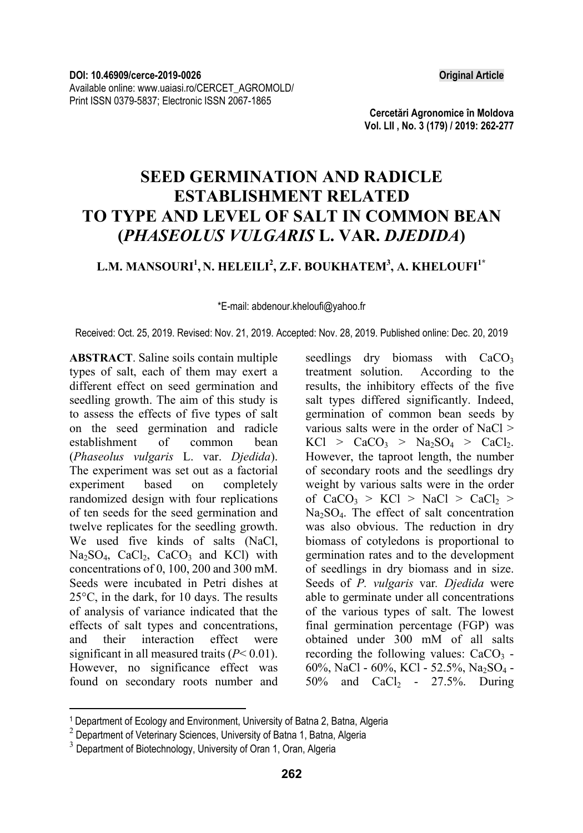**Cercetări Agronomice în Moldova Vol. LII , No. 3 (179) / 2019: 262-277** 

# **SEED GERMINATION AND RADICLE ESTABLISHMENT RELATED TO TYPE AND LEVEL OF SALT IN COMMON BEAN (***PHASEOLUS VULGARIS* **L. VAR.** *DJEDIDA***)**

# $\mathbf{L}.\mathbf{M}.\mathbf{MANSOURI}^{1},\mathbf{N}.\mathbf{HELEILI}^{2},\mathbf{Z}.\mathbf{F}.\mathbf{BOUKHATEM}^{3},\mathbf{A}.\mathbf{KHELOUFI}^{1*}$

\*E-mail: abdenour.kheloufi@yahoo.fr

Received: Oct. 25, 2019. Revised: Nov. 21, 2019. Accepted: Nov. 28, 2019. Published online: Dec. 20, 2019

**ABSTRACT**. Saline soils contain multiple types of salt, each of them may exert a different effect on seed germination and seedling growth. The aim of this study is to assess the effects of five types of salt on the seed germination and radicle establishment of common bean (*Phaseolus vulgaris* L. var. *Djedida*). The experiment was set out as a factorial experiment based on completely randomized design with four replications of ten seeds for the seed germination and twelve replicates for the seedling growth. We used five kinds of salts (NaCl,  $Na<sub>2</sub>SO<sub>4</sub>$ ,  $CaCl<sub>2</sub>$ ,  $CaCO<sub>3</sub>$  and KCl) with concentrations of 0, 100, 200 and 300 mM. Seeds were incubated in Petri dishes at 25°C, in the dark, for 10 days. The results of analysis of variance indicated that the effects of salt types and concentrations, and their interaction effect were significant in all measured traits (*P*< 0.01). However, no significance effect was found on secondary roots number and seedlings dry biomass with CaCO<sub>3</sub><br>treatment solution. According to the treatment solution. results, the inhibitory effects of the five salt types differed significantly. Indeed, germination of common bean seeds by various salts were in the order of NaCl >  $KCl > CaCO<sub>3</sub> > Na<sub>2</sub>SO<sub>4</sub> > CaCl<sub>2</sub>.$ However, the taproot length, the number of secondary roots and the seedlings dry weight by various salts were in the order of  $CaCO<sub>3</sub> > KCl > NaCl > CaCl<sub>2</sub> >$  $Na<sub>2</sub>SO<sub>4</sub>$ . The effect of salt concentration was also obvious. The reduction in dry biomass of cotyledons is proportional to germination rates and to the development of seedlings in dry biomass and in size. Seeds of *P. vulgaris* var*. Djedida* were able to germinate under all concentrations of the various types of salt. The lowest final germination percentage (FGP) was obtained under 300 mM of all salts recording the following values:  $CaCO<sub>3</sub>$  -60%, NaCl - 60%, KCl - 52.5%, Na2SO4 -  $50\%$  and  $CaCl<sub>2</sub>$  - 27.5%. During

l

<sup>&</sup>lt;sup>1</sup> Department of Ecology and Environment, University of Batna 2, Batna, Algeria

<sup>&</sup>lt;sup>2</sup> Department of Veterinary Sciences, University of Batna 1, Batna, Algeria

 $3$  Department of Biotechnology, University of Oran 1, Oran, Algeria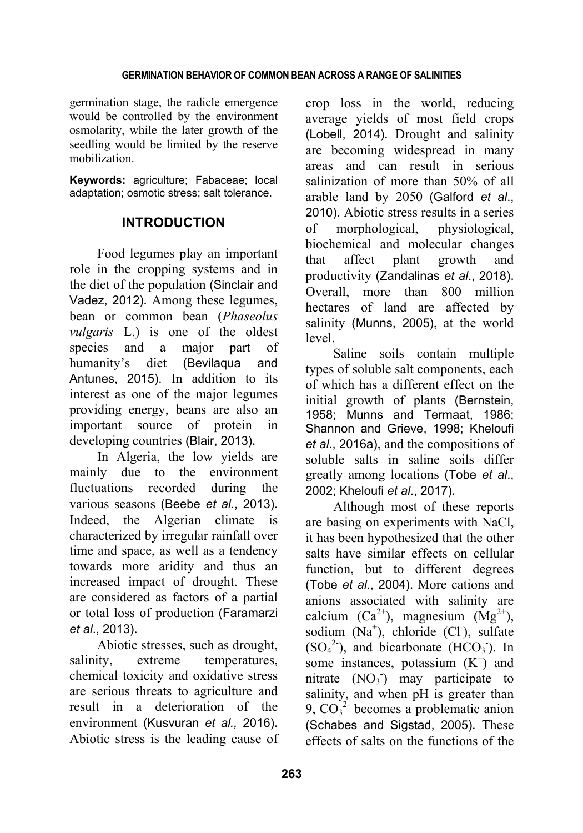germination stage, the radicle emergence would be controlled by the environment osmolarity, while the later growth of the seedling would be limited by the reserve mobilization.

**Keywords:** agriculture; Fabaceae; local adaptation; osmotic stress; salt tolerance.

# **INTRODUCTION**

Food legumes play an important role in the cropping systems and in the diet of the population (Sinclair and Vadez, 2012). Among these legumes, bean or common bean (*Phaseolus vulgaris* L.) is one of the oldest species and a major part of humanity's diet (Bevilaqua and Antunes, 2015). In addition to its interest as one of the major legumes providing energy, beans are also an important source of protein in developing countries (Blair, 2013).

In Algeria, the low yields are mainly due to the environment fluctuations recorded during the various seasons (Beebe *et al*., 2013). Indeed, the Algerian climate is characterized by irregular rainfall over time and space, as well as a tendency towards more aridity and thus an increased impact of drought. These are considered as factors of a partial or total loss of production (Faramarzi *et al*., 2013).

Abiotic stresses, such as drought, salinity, extreme temperatures, chemical toxicity and oxidative stress are serious threats to agriculture and result in a deterioration of the environment (Kusvuran *et al.,* 2016). Abiotic stress is the leading cause of crop loss in the world, reducing average yields of most field crops (Lobell, 2014). Drought and salinity are becoming widespread in many areas and can result in serious salinization of more than 50% of all arable land by 2050 (Galford *et al*., 2010). Abiotic stress results in a series of morphological, physiological, biochemical and molecular changes that affect plant growth and productivity (Zandalinas *et al*., 2018). Overall, more than 800 million hectares of land are affected by salinity (Munns, 2005), at the world level.

Saline soils contain multiple types of soluble salt components, each of which has a different effect on the initial growth of plants (Bernstein, 1958; Munns and Termaat, 1986; Shannon and Grieve, 1998; Kheloufi *et al*., 2016a), and the compositions of soluble salts in saline soils differ greatly among locations (Tobe *et al*., 2002; Kheloufi *et al*., 2017).

Although most of these reports are basing on experiments with NaCl, it has been hypothesized that the other salts have similar effects on cellular function, but to different degrees (Tobe *et al*., 2004). More cations and anions associated with salinity are calcium  $(Ca^{2+})$ , magnesium  $(Mg^{2+})$ , sodium (Na<sup>+</sup>), chloride (Cl<sup>-</sup>), sulfate  $(SO<sub>4</sub><sup>2</sup>)$ , and bicarbonate  $(HCO<sub>3</sub>)$ . In some instances, potassium  $(K^+)$  and nitrate  $(NO<sub>3</sub>)$  may participate to salinity, and when pH is greater than 9,  $CO<sub>3</sub><sup>2</sup>$  becomes a problematic anion (Schabes and Sigstad, 2005). These effects of salts on the functions of the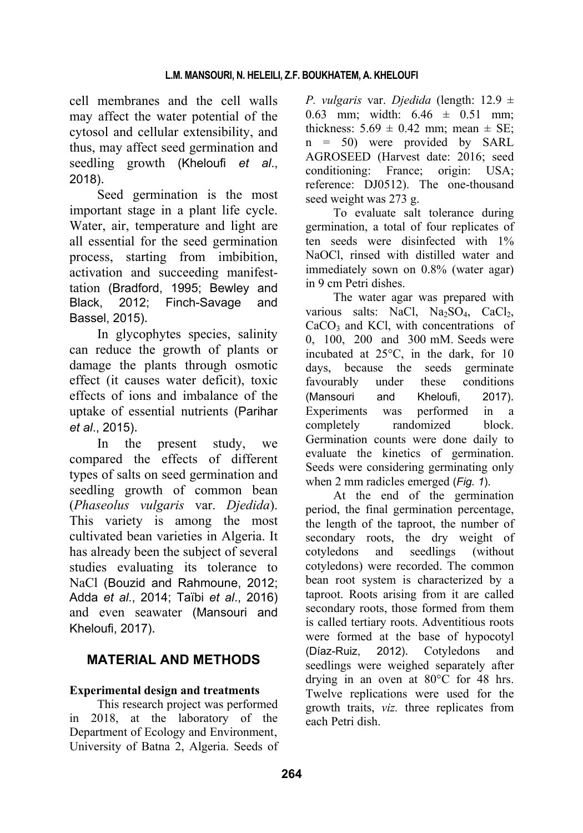cell membranes and the cell walls may affect the water potential of the cytosol and cellular extensibility, and thus, may affect seed germination and seedling growth (Kheloufi *et al*., 2018).

Seed germination is the most important stage in a plant life cycle. Water, air, temperature and light are all essential for the seed germination process, starting from imbibition, activation and succeeding manifesttation (Bradford, 1995; Bewley and Black, 2012; Finch-Savage and Bassel, 2015).

In glycophytes species, salinity can reduce the growth of plants or damage the plants through osmotic effect (it causes water deficit), toxic effects of ions and imbalance of the uptake of essential nutrients (Parihar *et al*., 2015).

In the present study, we compared the effects of different types of salts on seed germination and seedling growth of common bean (*Phaseolus vulgaris* var. *Djedida*). This variety is among the most cultivated bean varieties in Algeria. It has already been the subject of several studies evaluating its tolerance to NaCl (Bouzid and Rahmoune, 2012; Adda *et al*., 2014; Taïbi *et al*., 2016) and even seawater (Mansouri and Kheloufi, 2017).

# **MATERIAL AND METHODS**

# **Experimental design and treatments**

This research project was performed in 2018, at the laboratory of the Department of Ecology and Environment, University of Batna 2, Algeria. Seeds of *P. vulgaris* var. *Djedida* (length: 12.9 ± 0.63 mm; width: 6.46 ± 0.51 mm; thickness:  $5.69 \pm 0.42$  mm; mean  $\pm$  SE; n = 50) were provided by SARL AGROSEED (Harvest date: 2016; seed conditioning: France; origin: USA; reference: DJ0512). The one-thousand seed weight was 273 g.

To evaluate salt tolerance during germination, a total of four replicates of ten seeds were disinfected with 1% NaOCl, rinsed with distilled water and immediately sown on 0.8% (water agar) in 9 cm Petri dishes.

The water agar was prepared with various salts: NaCl, Na<sub>2</sub>SO<sub>4</sub>, CaCl<sub>2</sub>,  $CaCO<sub>3</sub>$  and KCl, with concentrations of 0, 100, 200 and 300 mM. Seeds were incubated at 25°C, in the dark, for 10 days, because the seeds germinate favourably under these conditions (Mansouri and Kheloufi, 2017). Experiments was performed in a completely randomized block. Germination counts were done daily to evaluate the kinetics of germination. Seeds were considering germinating only when 2 mm radicles emerged (*Fig. 1*).

At the end of the germination period, the final germination percentage, the length of the taproot, the number of secondary roots, the dry weight of cotyledons and seedlings (without cotyledons) were recorded. The common bean root system is characterized by a taproot. Roots arising from it are called secondary roots, those formed from them is called tertiary roots. Adventitious roots were formed at the base of hypocotyl (Díaz-Ruiz, 2012). Cotyledons and seedlings were weighed separately after drying in an oven at 80°C for 48 hrs. Twelve replications were used for the growth traits, *viz.* three replicates from each Petri dish.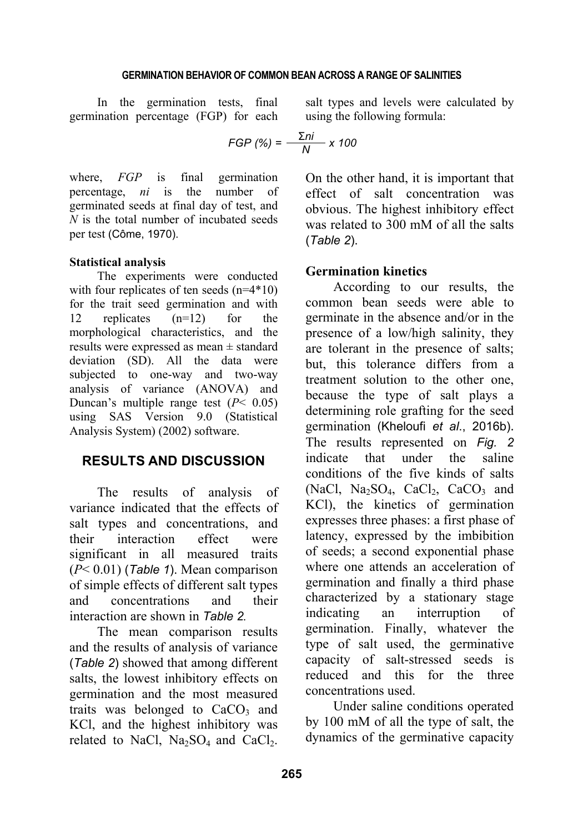In the germination tests, final germination percentage (FGP) for each

$$
FGP\ (\%) = \frac{\Sigma ni}{N} \times 100
$$

where, *FGP* is final germination percentage, *ni* is the number of germinated seeds at final day of test, and *N* is the total number of incubated seeds per test (Côme, 1970).

### **Statistical analysis**

The experiments were conducted with four replicates of ten seeds (n=4\*10) for the trait seed germination and with 12 replicates (n=12) for the morphological characteristics, and the results were expressed as mean ± standard deviation (SD). All the data were subjected to one-way and two-way analysis of variance (ANOVA) and Duncan's multiple range test (*P*< 0.05) using SAS Version 9.0 (Statistical Analysis System) (2002) software.

# **RESULTS AND DISCUSSION**

The results of analysis of variance indicated that the effects of salt types and concentrations, and their interaction effect were significant in all measured traits (*P*< 0.01) (*Table 1*). Mean comparison of simple effects of different salt types and concentrations and their interaction are shown in *Table 2.*

The mean comparison results and the results of analysis of variance (*Table 2*) showed that among different salts, the lowest inhibitory effects on germination and the most measured traits was belonged to  $CaCO<sub>3</sub>$  and KCl, and the highest inhibitory was related to NaCl,  $Na<sub>2</sub>SO<sub>4</sub>$  and CaCl<sub>2</sub>.

salt types and levels were calculated by using the following formula:

$$
iP(%) = \frac{\Sigma ni}{N} \times 100
$$

On the other hand, it is important that effect of salt concentration was obvious. The highest inhibitory effect was related to 300 mM of all the salts (*Table 2*).

# **Germination kinetics**

According to our results, the common bean seeds were able to germinate in the absence and/or in the presence of a low/high salinity, they are tolerant in the presence of salts; but, this tolerance differs from a treatment solution to the other one because the type of salt plays a determining role grafting for the seed germination (Kheloufi *et al*., 2016b). The results represented on *Fig. 2* indicate that under the saline conditions of the five kinds of salts (NaCl, Na<sub>2</sub>SO<sub>4</sub>, CaCl<sub>2</sub>, CaCO<sub>3</sub> and KCl), the kinetics of germination expresses three phases: a first phase of latency, expressed by the imbibition of seeds; a second exponential phase where one attends an acceleration of germination and finally a third phase characterized by a stationary stage indicating an interruption of germination. Finally, whatever the type of salt used, the germinative capacity of salt-stressed seeds is reduced and this for the three concentrations used.

Under saline conditions operated by 100 mM of all the type of salt, the dynamics of the germinative capacity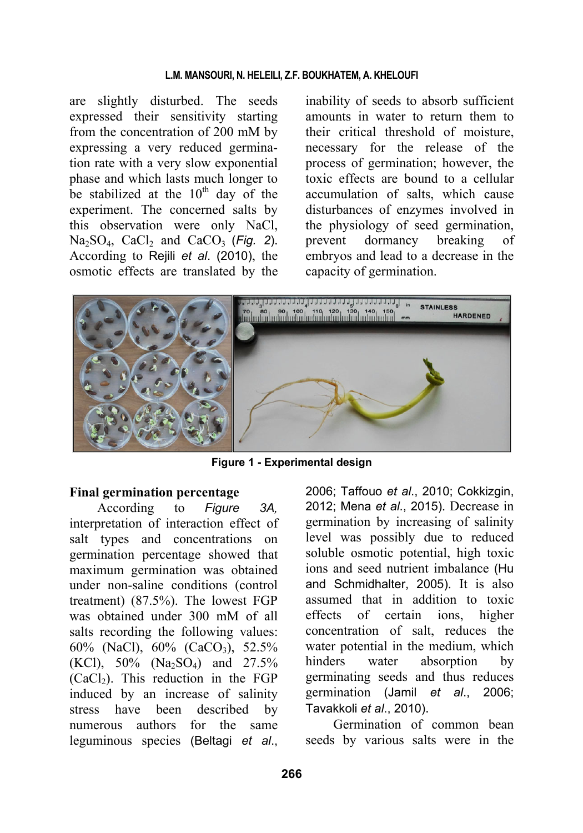are slightly disturbed. The seeds expressed their sensitivity starting from the concentration of 200 mM by expressing a very reduced germination rate with a very slow exponential phase and which lasts much longer to be stabilized at the  $10^{th}$  day of the experiment. The concerned salts by this observation were only NaCl,  $Na<sub>2</sub>SO<sub>4</sub>$ ,  $CaCl<sub>2</sub>$  and  $CaCO<sub>3</sub>$  (Fig. 2). According to Rejili *et al*. (2010), the osmotic effects are translated by the

inability of seeds to absorb sufficient amounts in water to return them to their critical threshold of moisture, necessary for the release of the process of germination; however, the toxic effects are bound to a cellular accumulation of salts, which cause disturbances of enzymes involved in the physiology of seed germination, prevent dormancy breaking of embryos and lead to a decrease in the capacity of germination.



**Figure 1 - Experimental design** 

# **Final germination percentage**

According to *Figure 3A,* interpretation of interaction effect of salt types and concentrations on germination percentage showed that maximum germination was obtained under non-saline conditions (control treatment) (87.5%). The lowest FGP was obtained under 300 mM of all salts recording the following values: 60% (NaCl), 60% (CaCO<sub>3</sub>), 52.5% (KCl),  $50\%$  (Na<sub>2</sub>SO<sub>4</sub>) and  $27.5\%$  $(CaCl<sub>2</sub>)$ . This reduction in the FGP induced by an increase of salinity stress have been described by numerous authors for the same leguminous species (Beltagi *et al*.,

2006; Taffouo *et al*., 2010; Cokkizgin, 2012; Mena *et al*., 2015). Decrease in germination by increasing of salinity level was possibly due to reduced soluble osmotic potential, high toxic ions and seed nutrient imbalance (Hu and Schmidhalter, 2005). It is also assumed that in addition to toxic effects of certain ions, higher concentration of salt, reduces the water potential in the medium, which hinders water absorption by germinating seeds and thus reduces germination (Jamil *et al*., 2006; Tavakkoli *et al*., 2010).

Germination of common bean seeds by various salts were in the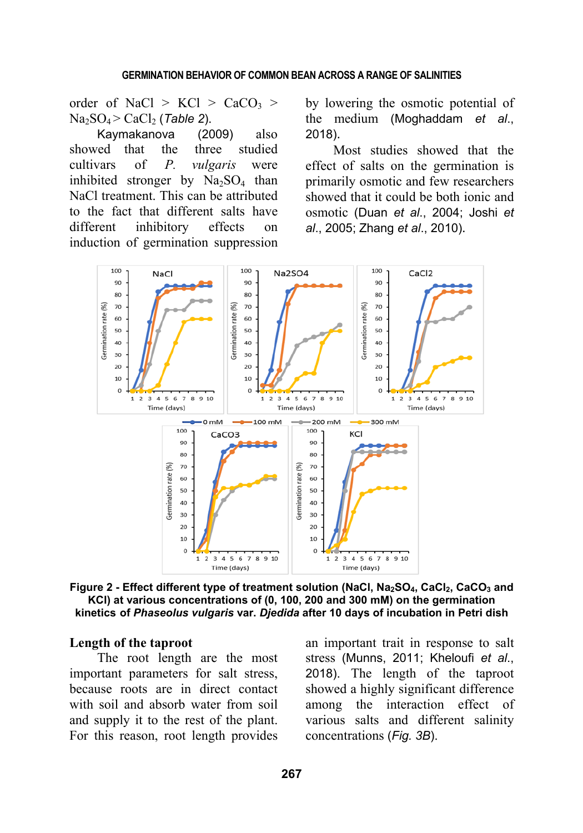order of NaCl >  $KCl$  > CaCO<sub>3</sub> >  $Na<sub>2</sub>SO<sub>4</sub> > CaCl<sub>2</sub>$  (*Table 2*).

Kaymakanova (2009) also showed that the three studied cultivars of *P. vulgaris* were inhibited stronger by  $Na<sub>2</sub>SO<sub>4</sub>$  than NaCl treatment. This can be attributed to the fact that different salts have different inhibitory effects on induction of germination suppression by lowering the osmotic potential of the medium (Moghaddam *et al*., 2018).

Most studies showed that the effect of salts on the germination is primarily osmotic and few researchers showed that it could be both ionic and osmotic (Duan *et al*., 2004; Joshi *et al*., 2005; Zhang *et al*., 2010).



Figure 2 - Effect different type of treatment solution (NaCl, Na<sub>2</sub>SO<sub>4</sub>, CaCl<sub>2</sub>, CaCO<sub>3</sub> and **KCl) at various concentrations of (0, 100, 200 and 300 mM) on the germination kinetics of** *Phaseolus vulgaris* **var.** *Djedida* **after 10 days of incubation in Petri dish**

### **Length of the taproot**

The root length are the most important parameters for salt stress, because roots are in direct contact with soil and absorb water from soil and supply it to the rest of the plant. For this reason, root length provides

an important trait in response to salt stress (Munns, 2011; Kheloufi *et al*., 2018). The length of the taproot showed a highly significant difference among the interaction effect of various salts and different salinity concentrations (*Fig. 3B*).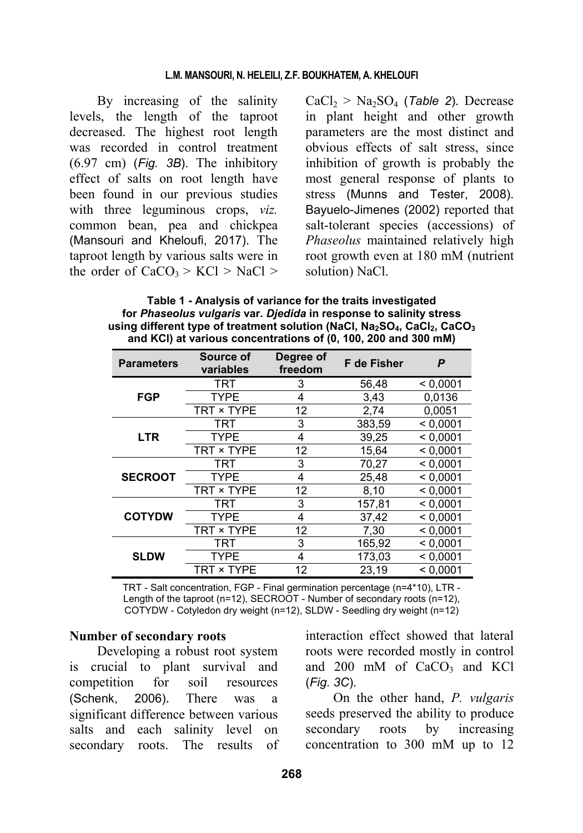By increasing of the salinity levels, the length of the taproot decreased. The highest root length was recorded in control treatment (6.97 cm) (*Fig. 3B*). The inhibitory effect of salts on root length have been found in our previous studies with three leguminous crops, *viz.* common bean, pea and chickpea (Mansouri and Kheloufi, 2017). The taproot length by various salts were in the order of  $CaCO<sub>3</sub> > KCl > NaCl >$ 

 $CaCl<sub>2</sub> > Na<sub>2</sub>SO<sub>4</sub>$  (*Table 2*). Decrease in plant height and other growth parameters are the most distinct and obvious effects of salt stress, since inhibition of growth is probably the most general response of plants to stress (Munns and Tester, 2008). Bayuelo-Jimenes (2002) reported that salt-tolerant species (accessions) of *Phaseolus* maintained relatively high root growth even at 180 mM (nutrient solution) NaCl.

**Table 1 - Analysis of variance for the traits investigated for** *Phaseolus vulgaris* **var.** *Djedida* **in response to salinity stress**  using different type of treatment solution (NaCl, Na<sub>2</sub>SO<sub>4</sub>, CaCl<sub>2</sub>, CaCO<sub>3</sub> **and KCl) at various concentrations of (0, 100, 200 and 300 mM)** 

| <b>Parameters</b> | Source of<br>variables | Degree of<br>freedom | <b>F</b> de Fisher | P        |
|-------------------|------------------------|----------------------|--------------------|----------|
| <b>FGP</b>        | <b>TRT</b>             | 3                    | 56,48              | < 0.0001 |
|                   | <b>TYPF</b>            | 4                    | 3,43               | 0.0136   |
|                   | TRT × TYPE             | 12                   | 2,74               | 0.0051   |
| <b>LTR</b>        | TRT                    | 3                    | 383,59             | < 0.0001 |
|                   | <b>TYPE</b>            | 4                    | 39,25              | < 0.0001 |
|                   | TRT × TYPE             | 12                   | 15,64              | < 0.0001 |
| <b>SECROOT</b>    | <b>TRT</b>             | 3                    | 70,27              | < 0.0001 |
|                   | <b>TYPE</b>            | 4                    | 25,48              | < 0.0001 |
|                   | TRT × TYPE             | 12                   | 8,10               | < 0.0001 |
| <b>COTYDW</b>     | TRT                    | 3                    | 157,81             | < 0.0001 |
|                   | <b>TYPE</b>            | 4                    | 37,42              | < 0.0001 |
|                   | TRT × TYPE             | 12                   | 7,30               | < 0.0001 |
| <b>SLDW</b>       | <b>TRT</b>             | 3                    | 165,92             | < 0.0001 |
|                   | <b>TYPE</b>            | 4                    | 173.03             | < 0.0001 |
|                   | TRT × TYPE             | 12                   | 23,19              | < 0.0001 |

TRT - Salt concentration, FGP - Final germination percentage (n=4\*10), LTR - Length of the taproot (n=12), SECROOT - Number of secondary roots (n=12), COTYDW - Cotyledon dry weight (n=12), SLDW - Seedling dry weight (n=12)

### **Number of secondary roots**

Developing a robust root system is crucial to plant survival and competition for soil resources (Schenk, 2006). There was a significant difference between various salts and each salinity level on secondary roots. The results of interaction effect showed that lateral roots were recorded mostly in control and  $200$  mM of  $CaCO<sub>3</sub>$  and KCl (*Fig. 3C*).

On the other hand, *P. vulgaris* seeds preserved the ability to produce secondary roots by increasing concentration to 300 mM up to 12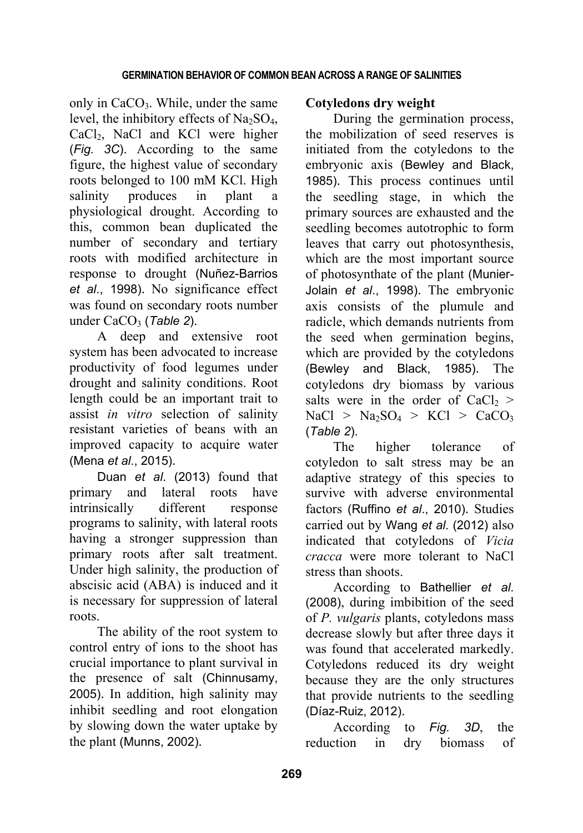only in  $CaCO<sub>3</sub>$ . While, under the same level, the inhibitory effects of  $Na<sub>2</sub>SO<sub>4</sub>$ , CaCl<sub>2</sub>, NaCl and KCl were higher (*Fig. 3C*). According to the same figure, the highest value of secondary roots belonged to 100 mM KCl. High salinity produces in plant a physiological drought. According to this, common bean duplicated the number of secondary and tertiary roots with modified architecture in response to drought (Nuñez-Barrios *et al*., 1998). No significance effect was found on secondary roots number under CaCO<sub>3</sub> (Table 2).

A deep and extensive root system has been advocated to increase productivity of food legumes under drought and salinity conditions. Root length could be an important trait to assist *in vitro* selection of salinity resistant varieties of beans with an improved capacity to acquire water (Mena *et al*., 2015).

Duan *et al*. (2013) found that primary and lateral roots have intrinsically different response programs to salinity, with lateral roots having a stronger suppression than primary roots after salt treatment. Under high salinity, the production of abscisic acid (ABA) is induced and it is necessary for suppression of lateral roots.

The ability of the root system to control entry of ions to the shoot has crucial importance to plant survival in the presence of salt (Chinnusamy, 2005). In addition, high salinity may inhibit seedling and root elongation by slowing down the water uptake by the plant (Munns, 2002).

# **Cotyledons dry weight**

During the germination process, the mobilization of seed reserves is initiated from the cotyledons to the embryonic axis (Bewley and Black, 1985). This process continues until the seedling stage, in which the primary sources are exhausted and the seedling becomes autotrophic to form leaves that carry out photosynthesis, which are the most important source of photosynthate of the plant (Munier-Jolain *et al*., 1998). The embryonic axis consists of the plumule and radicle, which demands nutrients from the seed when germination begins, which are provided by the cotyledons (Bewley and Black, 1985). The cotyledons dry biomass by various salts were in the order of  $CaCl<sub>2</sub>$  >  $NaCl > Na<sub>2</sub>SO<sub>4</sub> > KCl > CaCO<sub>3</sub>$ (*Table 2*).

The higher tolerance of cotyledon to salt stress may be an adaptive strategy of this species to survive with adverse environmental factors (Ruffino *et al*., 2010). Studies carried out by Wang *et al*. (2012) also indicated that cotyledons of *Vicia cracca* were more tolerant to NaCl stress than shoots.

According to Bathellier *et al*. (2008), during imbibition of the seed of *P. vulgaris* plants, cotyledons mass decrease slowly but after three days it was found that accelerated markedly. Cotyledons reduced its dry weight because they are the only structures that provide nutrients to the seedling (Díaz-Ruiz, 2012).

According to *Fig. 3D*, the reduction in dry biomass of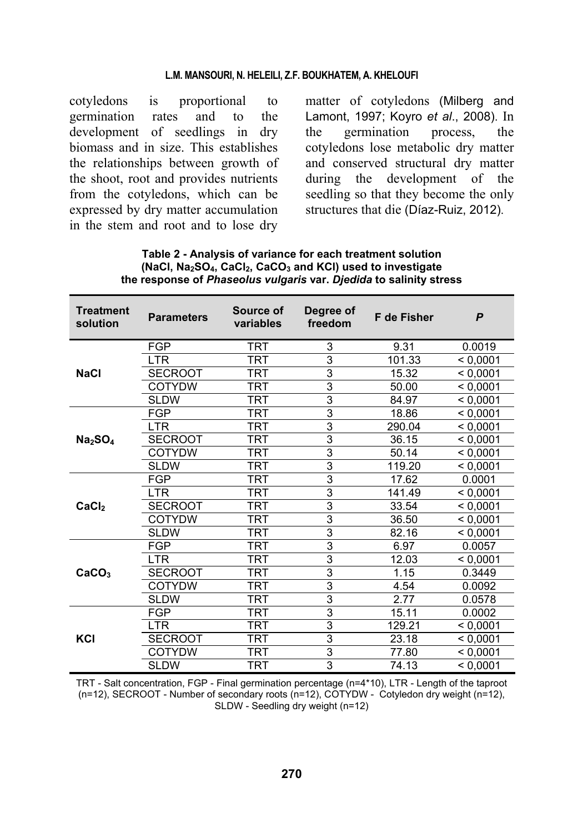cotyledons is proportional to germination rates and to the development of seedlings in dry biomass and in size. This establishes the relationships between growth of the shoot, root and provides nutrients from the cotyledons, which can be expressed by dry matter accumulation in the stem and root and to lose dry

matter of cotyledons (Milberg and Lamont, 1997; Koyro *et al*., 2008). In the germination process, the cotyledons lose metabolic dry matter and conserved structural dry matter during the development of the seedling so that they become the only structures that die (Díaz-Ruiz, 2012).

| <b>Treatment</b><br>solution    | <b>Parameters</b> | Source of<br>variables | Degree of<br>freedom | <b>F</b> de Fisher | P        |
|---------------------------------|-------------------|------------------------|----------------------|--------------------|----------|
| <b>NaCl</b>                     | FGP               | TRT                    | 3                    | 9.31               | 0.0019   |
|                                 | <b>LTR</b>        | TRT                    | 3                    | 101.33             | < 0.0001 |
|                                 | <b>SECROOT</b>    | TRT                    | 3                    | 15.32              | < 0,0001 |
|                                 | <b>COTYDW</b>     | TRT                    | 3                    | 50.00              | < 0,0001 |
|                                 | <b>SLDW</b>       | <b>TRT</b>             | 3                    | 84.97              | < 0,0001 |
| Na <sub>2</sub> SO <sub>4</sub> | <b>FGP</b>        | TRT                    | 3                    | 18.86              | < 0,0001 |
|                                 | <b>LTR</b>        | TRT                    | 3                    | 290.04             | < 0,0001 |
|                                 | <b>SECROOT</b>    | TRT                    | 3                    | 36.15              | < 0,0001 |
|                                 | <b>COTYDW</b>     | TRT                    | 3                    | 50.14              | < 0,0001 |
|                                 | <b>SLDW</b>       | TRT                    | 3                    | 119.20             | < 0,0001 |
| CaCl <sub>2</sub>               | <b>FGP</b>        | TRT                    | 3                    | 17.62              | 0.0001   |
|                                 | <b>LTR</b>        | TRT                    | 3                    | 141.49             | < 0.0001 |
|                                 | <b>SECROOT</b>    | TRT                    | 3                    | 33.54              | < 0,0001 |
|                                 | <b>COTYDW</b>     | TRT                    | 3                    | 36.50              | < 0,0001 |
|                                 | <b>SLDW</b>       | TRT                    | 3                    | 82.16              | < 0,0001 |
| CaCO <sub>3</sub>               | <b>FGP</b>        | TRT                    | 3                    | 6.97               | 0.0057   |
|                                 | <b>LTR</b>        | TRT                    | 3                    | 12.03              | < 0.0001 |
|                                 | <b>SECROOT</b>    | TRT                    | 3                    | 1.15               | 0.3449   |
|                                 | COTYDW            | <b>TRT</b>             | 3                    | 4.54               | 0.0092   |
|                                 | <b>SLDW</b>       | TRT                    | 3                    | 2.77               | 0.0578   |
| KCI                             | FGP               | TRT                    | 3                    | 15.11              | 0.0002   |
|                                 | <b>LTR</b>        | TRT                    | 3                    | 129.21             | < 0,0001 |
|                                 | <b>SECROOT</b>    | TRT                    | 3                    | 23.18              | < 0,0001 |
|                                 | <b>COTYDW</b>     | TRT                    | 3                    | 77.80              | < 0,0001 |
|                                 | <b>SLDW</b>       | TRT                    | 3                    | 74.13              | < 0.0001 |

| Table 2 - Analysis of variance for each treatment solution                                                  |  |
|-------------------------------------------------------------------------------------------------------------|--|
| (NaCl, Na <sub>2</sub> SO <sub>4</sub> , CaCl <sub>2</sub> , CaCO <sub>3</sub> and KCI) used to investigate |  |
| the response of <i>Phaseolus vulgaris</i> var. <i>Djedida</i> to salinity stress                            |  |

TRT - Salt concentration, FGP - Final germination percentage (n=4\*10), LTR - Length of the taproot (n=12), SECROOT - Number of secondary roots (n=12), COTYDW - Cotyledon dry weight (n=12), SLDW - Seedling dry weight (n=12)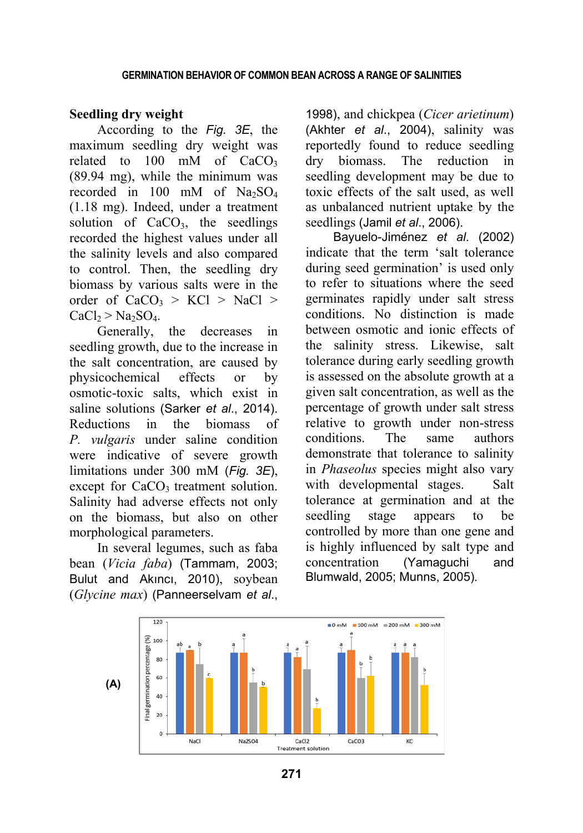# **Seedling dry weight**

According to the *Fig. 3E*, the maximum seedling dry weight was related to  $100$  mM of  $CaCO<sub>3</sub>$ (89.94 mg), while the minimum was recorded in 100 mM of  $Na<sub>2</sub>SO<sub>4</sub>$ (1.18 mg). Indeed, under a treatment solution of  $CaCO<sub>3</sub>$ , the seedlings recorded the highest values under all the salinity levels and also compared to control. Then, the seedling dry biomass by various salts were in the order of  $CaCO<sub>3</sub> > KCl > NaCl >$  $CaCl<sub>2</sub> > Na<sub>2</sub>SO<sub>4</sub>.$ 

Generally, the decreases in seedling growth, due to the increase in the salt concentration, are caused by physicochemical effects or by osmotic-toxic salts, which exist in saline solutions (Sarker *et al*., 2014). Reductions in the biomass of *P. vulgaris* under saline condition were indicative of severe growth limitations under 300 mM (*Fig. 3E*), except for  $CaCO<sub>3</sub>$  treatment solution. Salinity had adverse effects not only on the biomass, but also on other morphological parameters.

In several legumes, such as faba bean (*Vicia faba*) (Tammam, 2003; Bulut and Akıncı, 2010), soybean (*Glycine max*) (Panneerselvam *et al*.,

1998), and chickpea (*Cicer arietinum*) (Akhter *et al*., 2004), salinity was reportedly found to reduce seedling dry biomass. The reduction in seedling development may be due to toxic effects of the salt used, as well as unbalanced nutrient uptake by the seedlings (Jamil *et al*., 2006).

Bayuelo-Jiménez *et al*. (2002) indicate that the term 'salt tolerance during seed germination' is used only to refer to situations where the seed germinates rapidly under salt stress conditions. No distinction is made between osmotic and ionic effects of the salinity stress. Likewise, salt tolerance during early seedling growth is assessed on the absolute growth at a given salt concentration, as well as the percentage of growth under salt stress relative to growth under non-stress conditions. The same authors demonstrate that tolerance to salinity in *Phaseolus* species might also vary with developmental stages. Salt tolerance at germination and at the seedling stage appears to be controlled by more than one gene and is highly influenced by salt type and concentration (Yamaguchi and Blumwald, 2005; Munns, 2005).

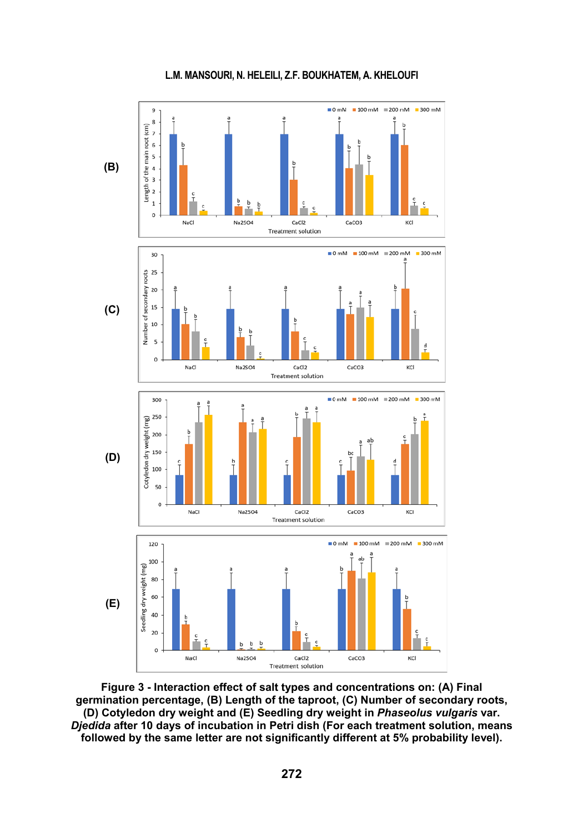

**Figure 3 - Interaction effect of salt types and concentrations on: (A) Final germination percentage, (B) Length of the taproot, (C) Number of secondary roots, (D) Cotyledon dry weight and (E) Seedling dry weight in** *Phaseolus vulgaris* **var.**  *Djedida* **after 10 days of incubation in Petri dish (For each treatment solution, means followed by the same letter are not significantly different at 5% probability level).**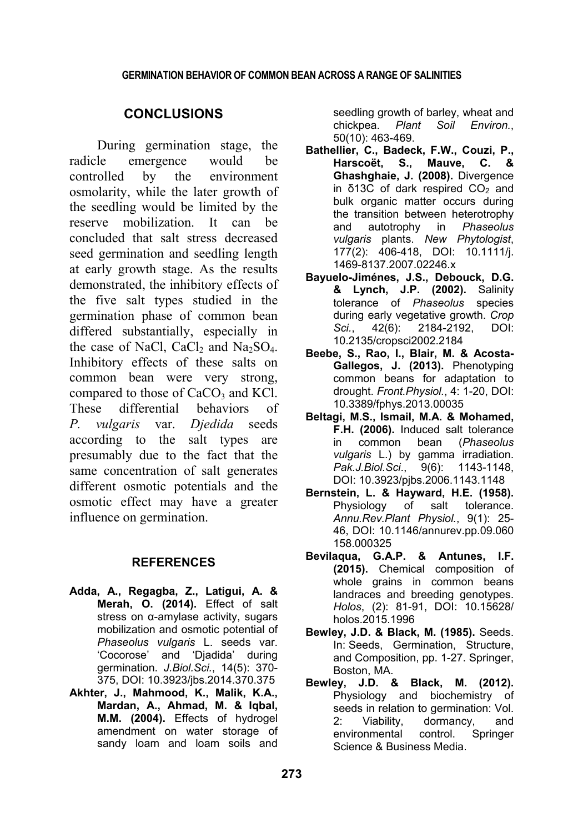# **CONCLUSIONS**

During germination stage, the radicle emergence would be controlled by the environment osmolarity, while the later growth of the seedling would be limited by the reserve mobilization. It can be concluded that salt stress decreased seed germination and seedling length at early growth stage. As the results demonstrated, the inhibitory effects of the five salt types studied in the germination phase of common bean differed substantially, especially in the case of NaCl, CaCl<sub>2</sub> and Na<sub>2</sub>SO<sub>4</sub>. Inhibitory effects of these salts on common bean were very strong, compared to those of  $CaCO<sub>3</sub>$  and KCl. These differential behaviors of *P. vulgaris* var. *Djedida* seeds according to the salt types are presumably due to the fact that the same concentration of salt generates different osmotic potentials and the osmotic effect may have a greater influence on germination.

### **REFERENCES**

- **Adda, A., Regagba, Z., Latigui, A. & Merah, O. (2014).** Effect of salt stress on α-amylase activity, sugars mobilization and osmotic potential of *Phaseolus vulgaris* L. seeds var. 'Cocorose' and 'Djadida' during germination. *J.Biol.Sci.*, 14(5): 370- 375, DOI: 10.3923/jbs.2014.370.375
- **Akhter, J., Mahmood, K., Malik, K.A., Mardan, A., Ahmad, M. & Iqbal, M.M. (2004).** Effects of hydrogel amendment on water storage of sandy loam and loam soils and

seedling growth of barley, wheat and chickpea. *Plant Soil Environ.*, 50(10): 463-469.

- **Bathellier, C., Badeck, F.W., Couzi, P., Harscoët, S., Mauve, C. & Ghashghaie, J. (2008).** Divergence in δ13C of dark respired  $CO<sub>2</sub>$  and bulk organic matter occurs during the transition between heterotrophy and autotrophy in *Phaseolus vulgaris* plants. *New Phytologist*, 177(2): 406-418, DOI: 10.1111/j. 1469-8137.2007.02246.x
- **Bayuelo-Jiménes, J.S., Debouck, D.G. & Lynch, J.P. (2002).** Salinity tolerance of *Phaseolus* species during early vegetative growth. *Crop Sci.*, 42(6): 2184-2192, DOI: 10.2135/cropsci2002.2184
- **Beebe, S., Rao, I., Blair, M. & Acosta-Gallegos, J. (2013).** Phenotyping common beans for adaptation to drought. *Front.Physiol.*, 4: 1-20, DOI: 10.3389/fphys.2013.00035
- **Beltagi, M.S., Ismail, M.A. & Mohamed, F.H. (2006).** Induced salt tolerance in common bean (*Phaseolus vulgaris* L.) by gamma irradiation. *Pak.J.Biol.Sci*., 9(6): 1143-1148, DOI: 10.3923/pjbs.2006.1143.1148
- **Bernstein, L. & Hayward, H.E. (1958).** Physiology of salt tolerance. *Annu.Rev.Plant Physiol.*, 9(1): 25- 46, DOI: 10.1146/annurev.pp.09.060 158.000325
- **Bevilaqua, G.A.P. & Antunes, I.F. (2015).** Chemical composition of whole grains in common beans landraces and breeding genotypes. *Holos*, (2): 81-91, DOI: 10.15628/ holos.2015.1996
- **Bewley, J.D. & Black, M. (1985).** Seeds. In: Seeds, Germination, Structure, and Composition, pp. 1-27. Springer, Boston, MA.
- **Bewley, J.D. & Black, M. (2012).** Physiology and biochemistry of seeds in relation to germination: Vol. 2: Viability, dormancy, and environmental control. Springer Science & Business Media.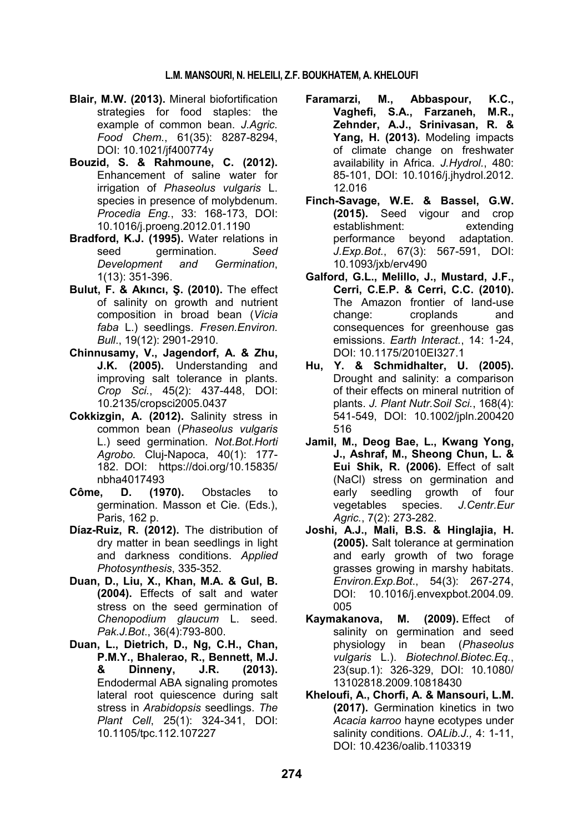- **Blair, M.W. (2013).** Mineral biofortification strategies for food staples: the example of common bean. *J.Agric. Food Chem.*, 61(35): 8287-8294, DOI: 10.1021/jf400774y
- **Bouzid, S. & Rahmoune, C. (2012).** Enhancement of saline water for irrigation of *Phaseolus vulgaris* L. species in presence of molybdenum. *Procedia Eng.*, 33: 168-173, DOI: 10.1016/j.proeng.2012.01.1190
- **Bradford, K.J. (1995).** Water relations in seed germination. *Seed Development and Germination*, 1(13): 351-396.
- **Bulut, F. & Akıncı, Ş. (2010).** The effect of salinity on growth and nutrient composition in broad bean (*Vicia faba* L.) seedlings. *Fresen.Environ. Bull*., 19(12): 2901-2910.
- **Chinnusamy, V., Jagendorf, A. & Zhu, J.K. (2005).** Understanding and improving salt tolerance in plants. *Crop Sci.*, 45(2): 437-448, DOI: 10.2135/cropsci2005.0437
- **Cokkizgin, A. (2012).** Salinity stress in common bean (*Phaseolus vulgaris* L.) seed germination. *Not.Bot.Horti Agrobo.* Cluj-Napoca, 40(1): 177- 182. DOI: https://doi.org/10.15835/ nbha4017493
- **Côme, D. (1970).** Obstacles to germination. Masson et Cie. (Eds.), Paris, 162 p.
- **Díaz-Ruiz, R. (2012).** The distribution of dry matter in bean seedlings in light and darkness conditions. *Applied Photosynthesis*, 335-352.
- **Duan, D., Liu, X., Khan, M.A. & Gul, B. (2004).** Effects of salt and water stress on the seed germination of *Chenopodium glaucum* L. seed. *Pak.J.Bot*., 36(4):793-800.
- **Duan, L., Dietrich, D., Ng, C.H., Chan, P.M.Y., Bhalerao, R., Bennett, M.J. & Dinneny, J.R. (2013).** Endodermal ABA signaling promotes lateral root quiescence during salt stress in *Arabidopsis* seedlings. *The Plant Cell*, 25(1): 324-341, DOI: 10.1105/tpc.112.107227
- **Faramarzi, M., Abbaspour, K.C., Vaghefi, S.A., Farzaneh, M.R., Zehnder, A.J., Srinivasan, R. & Yang, H. (2013).** Modeling impacts of climate change on freshwater availability in Africa. *J.Hydrol.*, 480: 85-101, DOI: 10.1016/j.jhydrol.2012. 12.016
- **Finch-Savage, W.E. & Bassel, G.W. (2015).** Seed vigour and crop establishment: extending performance beyond adaptation. *J.Exp.Bot.*, 67(3): 567-591, DOI: 10.1093/jxb/erv490
- **Galford, G.L., Melillo, J., Mustard, J.F., Cerri, C.E.P. & Cerri, C.C. (2010).** The Amazon frontier of land-use change: croplands and consequences for greenhouse gas emissions. *Earth Interact.*, 14: 1-24, DOI: 10.1175/2010EI327.1
- **Hu, Y. & Schmidhalter, U. (2005).** Drought and salinity: a comparison of their effects on mineral nutrition of plants. *J. Plant Nutr.Soil Sci.*, 168(4): 541-549, DOI: 10.1002/jpln.200420 516
- **Jamil, M., Deog Bae, L., Kwang Yong, J., Ashraf, M., Sheong Chun, L. & Eui Shik, R. (2006).** Effect of salt (NaCl) stress on germination and early seedling growth of four vegetables species. *J.Centr.Eur Agric.*, 7(2): 273-282.
- **Joshi, A.J., Mali, B.S. & Hinglajia, H. (2005).** Salt tolerance at germination and early growth of two forage grasses growing in marshy habitats. *Environ.Exp.Bot*., 54(3): 267-274, DOI: 10.1016/j.envexpbot.2004.09. 005
- **Kaymakanova, M. (2009).** Effect of salinity on germination and seed physiology in bean (*Phaseolus vulgaris* L.). *Biotechnol.Biotec.Eq.*, 23(sup.1): 326-329, DOI: 10.1080/ 13102818.2009.10818430
- **Kheloufi, A., Chorfi, A. & Mansouri, L.M. (2017).** Germination kinetics in two *Acacia karroo* hayne ecotypes under salinity conditions. *OALib.J.,* 4: 1-11, DOI: 10.4236/oalib.1103319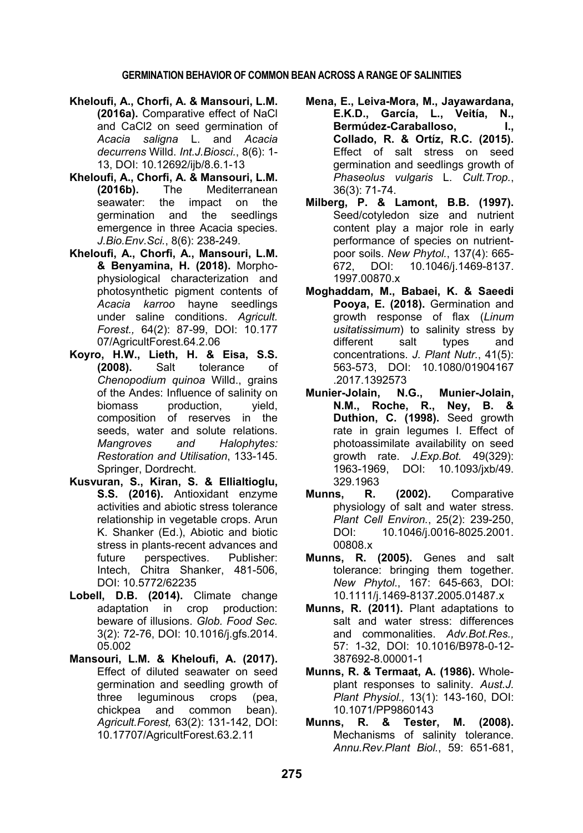- **Kheloufi, A., Chorfi, A. & Mansouri, L.M. (2016a).** Comparative effect of NaCl and CaCl2 on seed germination of *Acacia saligna* L. and *Acacia decurrens* Willd. *Int.J.Biosci.*, 8(6): 1- 13, DOI: 10.12692/ijb/8.6.1-13
- **Kheloufi, A., Chorfi, A. & Mansouri, L.M. (2016b).** The Mediterranean seawater: the impact on the germination and the seedlings emergence in three Acacia species. *J.Bio.Env.Sci.*, 8(6): 238-249.
- **Kheloufi, A., Chorfi, A., Mansouri, L.M. & Benyamina, H. (2018).** Morphophysiological characterization and photosynthetic pigment contents of *Acacia karroo* hayne seedlings under saline conditions. *Agricult. Forest.,* 64(2): 87-99, DOI: 10.177 07/AgricultForest.64.2.06
- **Koyro, H.W., Lieth, H. & Eisa, S.S. (2008).** Salt tolerance of *Chenopodium quinoa* Willd., grains of the Andes: Influence of salinity on biomass production, vield, composition of reserves in the seeds, water and solute relations. *Mangroves and Halophytes: Restoration and Utilisation*, 133-145. Springer, Dordrecht.
- **Kusvuran, S., Kiran, S. & Ellialtioglu, S.S. (2016).** Antioxidant enzyme activities and abiotic stress tolerance relationship in vegetable crops. Arun K. Shanker (Ed.), Abiotic and biotic stress in plants-recent advances and future perspectives. Publisher: Intech, Chitra Shanker, 481-506, DOI: 10.5772/62235
- **Lobell, D.B. (2014).** Climate change adaptation in crop production: beware of illusions. *Glob. Food Sec.* 3(2): 72-76, DOI: 10.1016/j.gfs.2014. 05.002
- **Mansouri, L.M. & Kheloufi, A. (2017).** Effect of diluted seawater on seed germination and seedling growth of three leguminous crops (pea, chickpea and common bean). *Agricult.Forest,* 63(2): 131-142, DOI: 10.17707/AgricultForest.63.2.11
- **Mena, E., Leiva-Mora, M., Jayawardana, E.K.D., García, L., Veitía, N.,**  Bermúdez-Caraballoso. I., **Collado, R. & Ortíz, R.C. (2015).** Effect of salt stress on seed germination and seedlings growth of *Phaseolus vulgaris* L. *Cult.Trop.*, 36(3): 71-74.
- **Milberg, P. & Lamont, B.B. (1997).** Seed/cotyledon size and nutrient content play a major role in early performance of species on nutrientpoor soils. *New Phytol.*, 137(4): 665- 672, DOI: 10.1046/j.1469-8137. 1997.00870.x
- **Moghaddam, M., Babaei, K. & Saeedi Pooya, E. (2018).** Germination and growth response of flax (*Linum usitatissimum*) to salinity stress by different salt types and concentrations. *J. Plant Nutr.*, 41(5): 563-573, DOI: 10.1080/01904167 .2017.1392573
- **Munier-Jolain, N.G., Munier-Jolain, N.M., Roche, R., Ney, B. & Duthion, C. (1998).** Seed growth rate in grain legumes I. Effect of photoassimilate availability on seed growth rate. *J.Exp.Bot.* 49(329): 1963-1969, DOI: 10.1093/jxb/49. 329.1963
- **Munns, R. (2002).** Comparative physiology of salt and water stress. *Plant Cell Environ.*, 25(2): 239-250, DOI: 10.1046/j.0016-8025.2001. 00808.x
- **Munns, R. (2005).** Genes and salt tolerance: bringing them together. *New Phytol*., 167: 645-663, DOI: 10.1111/j.1469-8137.2005.01487.x
- **Munns, R. (2011).** Plant adaptations to salt and water stress: differences and commonalities. *Adv.Bot.Res.,* 57: 1-32, DOI: 10.1016/B978-0-12- 387692-8.00001-1
- **Munns, R. & Termaat, A. (1986).** Wholeplant responses to salinity. *Aust.J. Plant Physiol.,* 13(1): 143-160, DOI: 10.1071/PP9860143
- **Munns, R. & Tester, M. (2008).** Mechanisms of salinity tolerance. *Annu.Rev.Plant Biol.*, 59: 651-681,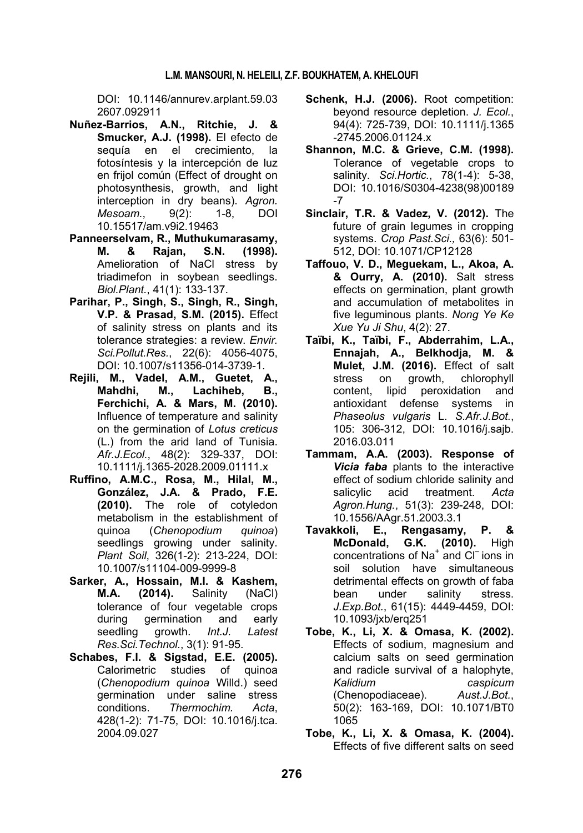DOI: 10.1146/annurev.arplant.59.03 2607.092911

- **Nuñez-Barrios, A.N., Ritchie, J. & Smucker, A.J. (1998).** El efecto de sequía en el crecimiento, la fotosíntesis y la intercepción de luz en frijol común (Effect of drought on photosynthesis, growth, and light interception in dry beans). *Agron. Mesoam.*, 9(2): 1-8, DOI 10.15517/am.v9i2.19463
- **Panneerselvam, R., Muthukumarasamy, M. & Rajan, S.N. (1998).** Amelioration of NaCl stress by triadimefon in soybean seedlings. *Biol.Plant.*, 41(1): 133-137.
- **Parihar, P., Singh, S., Singh, R., Singh, V.P. & Prasad, S.M. (2015).** Effect of salinity stress on plants and its tolerance strategies: a review. *Envir. Sci.Pollut.Res.*, 22(6): 4056-4075, DOI: 10.1007/s11356-014-3739-1.
- **Rejili, M., Vadel, A.M., Guetet, A., Mahdhi, M., Lachiheb, B., Ferchichi, A. & Mars, M. (2010).** Influence of temperature and salinity on the germination of *Lotus creticus* (L.) from the arid land of Tunisia. *Afr.J.Ecol.*, 48(2): 329-337, DOI: 10.1111/j.1365-2028.2009.01111.x
- **Ruffino, A.M.C., Rosa, M., Hilal, M., González, J.A. & Prado, F.E. (2010).** The role of cotyledon metabolism in the establishment of quinoa (*Chenopodium quinoa*) seedlings growing under salinity. *Plant Soil*, 326(1-2): 213-224, DOI: 10.1007/s11104-009-9999-8
- **Sarker, A., Hossain, M.I. & Kashem, M.A. (2014).** Salinity (NaCl) tolerance of four vegetable crops during germination and early seedling growth. *Int.J. Latest Res.Sci.Technol*., 3(1): 91-95.
- **Schabes, F.I. & Sigstad, E.E. (2005).** Calorimetric studies of quinoa (*Chenopodium quinoa* Willd.) seed germination under saline stress conditions. *Thermochim. Acta*, 428(1-2): 71-75, DOI: 10.1016/j.tca. 2004.09.027
- Schenk, H.J. (2006). Root competition: beyond resource depletion. *J. Ecol.*, 94(4): 725-739, DOI: 10.1111/j.1365 -2745.2006.01124.x
- **Shannon, M.C. & Grieve, C.M. (1998).** Tolerance of vegetable crops to salinity. *Sci.Hortic.*, 78(1-4): 5-38, DOI: 10.1016/S0304-4238(98)00189 -7
- **Sinclair, T.R. & Vadez, V. (2012).** The future of grain legumes in cropping systems. *Crop Past.Sci.,* 63(6): 501- 512, DOI: 10.1071/CP12128
- **Taffouo, V. D., Meguekam, L., Akoa, A. & Ourry, A. (2010).** Salt stress effects on germination, plant growth and accumulation of metabolites in five leguminous plants. *Nong Ye Ke Xue Yu Ji Shu*, 4(2): 27.
- **Taïbi, K., Taïbi, F., Abderrahim, L.A., Ennajah, A., Belkhodja, M. & Mulet, J.M. (2016).** Effect of salt stress on growth, chlorophyll content, lipid peroxidation and antioxidant defense systems in *Phaseolus vulgaris* L. *S.Afr.J.Bot.*, 105: 306-312, DOI: 10.1016/j.sajb. 2016.03.011
- **Tammam, A.A. (2003). Response of**  *Vicia faba* plants to the interactive effect of sodium chloride salinity and salicylic acid treatment. *Acta Agron.Hung.*, 51(3): 239-248, DOI: 10.1556/AAgr.51.2003.3.1
- **Tavakkoli, E., Rengasamy, P. & McDonald, G.K. (2010).** High concentrations of Na<sup>+</sup> and Cl<sup>-</sup> ions in soil solution have simultaneous detrimental effects on growth of faba bean under salinity stress. *J.Exp.Bot.*, 61(15): 4449-4459, DOI: 10.1093/jxb/erq251
- **Tobe, K., Li, X. & Omasa, K. (2002).** Effects of sodium, magnesium and calcium salts on seed germination and radicle survival of a halophyte, *Kalidium caspicum* (Chenopodiaceae). *Aust.J.Bot.*, 50(2): 163-169, DOI: 10.1071/BT0 1065
- **Tobe, K., Li, X. & Omasa, K. (2004).** Effects of five different salts on seed